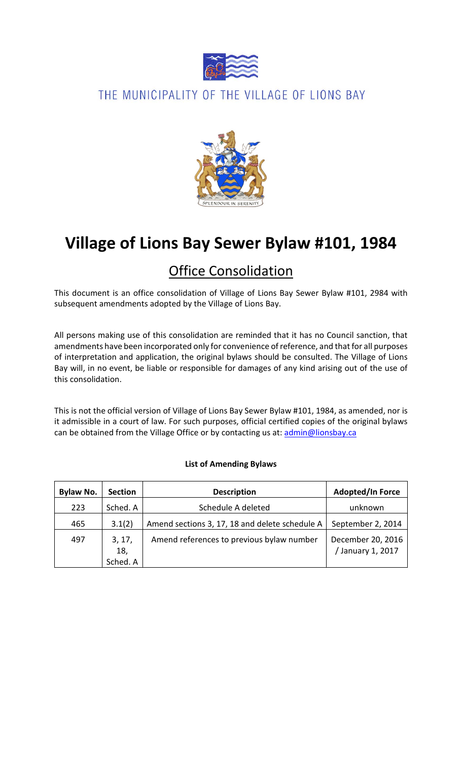

# THE MUNICIPALITY OF THE VILLAGE OF LIONS BAY



# **Village of Lions Bay Sewer Bylaw #101, 1984**

# Office Consolidation

This document is an office consolidation of Village of Lions Bay Sewer Bylaw #101, 2984 with subsequent amendments adopted by the Village of Lions Bay.

All persons making use of this consolidation are reminded that it has no Council sanction, that amendments have been incorporated only for convenience of reference, and that for all purposes of interpretation and application, the original bylaws should be consulted. The Village of Lions Bay will, in no event, be liable or responsible for damages of any kind arising out of the use of this consolidation.

This is not the official version of Village of Lions Bay Sewer Bylaw #101, 1984, as amended, nor is it admissible in a court of law. For such purposes, official certified copies of the original bylaws can be obtained from the Village Office or by contacting us at: [admin@lionsbay.ca](mailto:admin@lionsbay.ca)

# **List of Amending Bylaws**

| <b>Bylaw No.</b> | <b>Section</b> | <b>Description</b>                             | <b>Adopted/In Force</b>               |
|------------------|----------------|------------------------------------------------|---------------------------------------|
| 223              | Sched. A       | Schedule A deleted                             | unknown                               |
| 465              | 3.1(2)         | Amend sections 3, 17, 18 and delete schedule A | September 2, 2014                     |
| 497              | 3, 17,<br>18,  | Amend references to previous bylaw number      | December 20, 2016<br>/January 1, 2017 |
|                  | Sched. A       |                                                |                                       |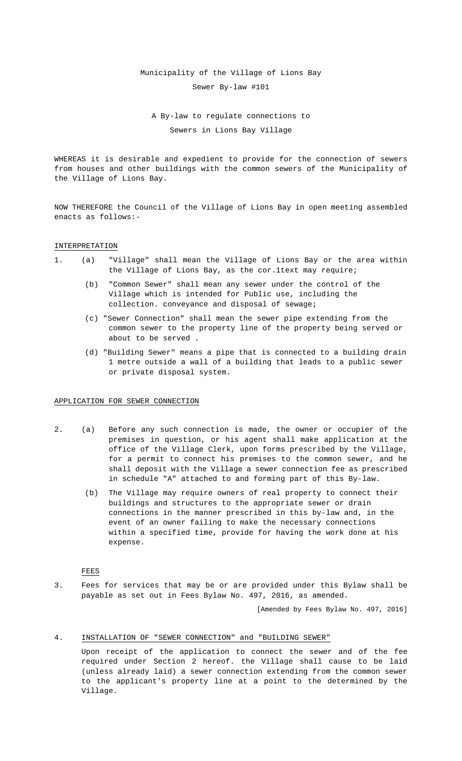#### Municipality of the Village of Lions Bay

Sewer By-law #101

# A By-law to regulate connections to Sewers in Lions Bay Village

WHEREAS it is desirable and expedient to provide for the connection of sewers from houses and other buildings with the common sewers of the Municipality of the Village of Lions Bay.

NOW THEREFORE the Council of the Village of Lions Bay in open meeting assembled enacts as follows:-

# INTERPRETATION

- 1. (a) "Village" shall mean the Village of Lions Bay or the area within the Village of Lions Bay, as the cor.1text may require;
	- (b) "Common Sewer" shall mean any sewer under the control of the Village which is intended for Public use, including the collection. conveyance and disposal of sewage;
	- (c) "Sewer Connection" shall mean the sewer pipe extending from the common sewer to the property line of the property being served or about to be served .
	- (d) "Building Sewer" means a pipe that is connected to a building drain 1 metre outside a wall of a building that leads to a public sewer or private disposal system.

# APPLICATION FOR SEWER CONNECTION

- 2. (a) Before any such connection is made, the owner or occupier of the premises in question, or his agent shall make application at the office of the Village Clerk, upon forms prescribed by the Village, for a permit to connect his premises to the common sewer, and he shall deposit with the Village a sewer connection fee as prescribed in schedule "A" attached to and forming part of this By-law.
	- (b) The Village may require owners of real property to connect their buildings and structures to the appropriate sewer or drain connections in the manner prescribed in this by-law and, in the event of an owner failing to make the necessary connections within a specified time, provide for having the work done at his expense.

# FEES

3. Fees for services that may be or are provided under this Bylaw shall be payable as set out in Fees Bylaw No. 497, 2016, as amended.

[Amended by Fees Bylaw No. 497, 2016]

# 4. INSTALLATION OF "SEWER CONNECTION" and "BUILDING SEWER"

Upon receipt of the application to connect the sewer and of the fee required under Section 2 hereof. the Village shall cause to be laid (unless already laid) a sewer connection extending from the common sewer to the applicant's property line at a point to the determined by the Village.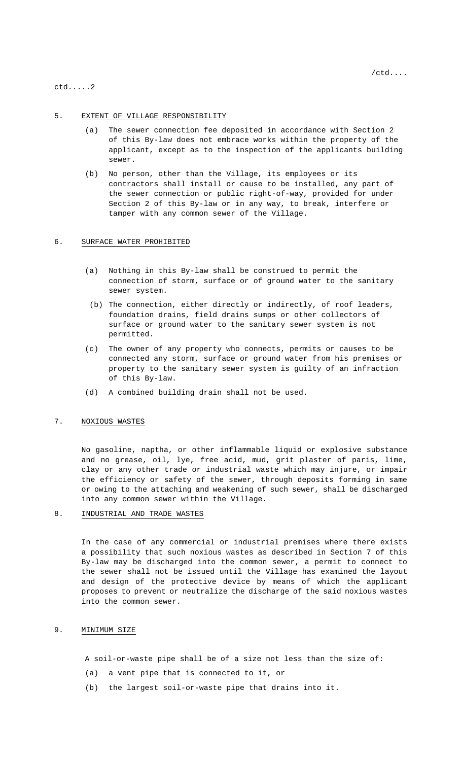ctd.....2

### 5. EXTENT OF VILLAGE RESPONSIBILITY

- (a) The sewer connection fee deposited in accordance with Section 2 of this By-law does not embrace works within the property of the applicant, except as to the inspection of the applicants building sewer.
- (b) No person, other than the Village, its employees or its contractors shall install or cause to be installed, any part of the sewer connection or public right-of-way, provided for under Section 2 of this By-law or in any way, to break, interfere or tamper with any common sewer of the Village.

# 6. SURFACE WATER PROHIBITED

- (a) Nothing in this By-law shall be construed to permit the connection of storm, surface or of ground water to the sanitary sewer system.
- (b) The connection, either directly or indirectly, of roof leaders, foundation drains, field drains sumps or other collectors of surface or ground water to the sanitary sewer system is not permitted.
- (c) The owner of any property who connects, permits or causes to be connected any storm, surface or ground water from his premises or property to the sanitary sewer system is guilty of an infraction of this By-law.
- (d) A combined building drain shall not be used.

# 7. NOXIOUS WASTES

No gasoline, naptha, or other inflammable liquid or explosive substance and no grease, oil, lye, free acid, mud, grit plaster of paris, lime, clay or any other trade or industrial waste which may injure, or impair the efficiency or safety of the sewer, through deposits forming in same or owing to the attaching and weakening of such sewer, shall be discharged into any common sewer within the Village.

# 8. INDUSTRIAL AND TRADE WASTES

In the case of any commercial or industrial premises where there exists a possibility that such noxious wastes as described in Section 7 of this By-law may be discharged into the common sewer, a permit to connect to the sewer shall not be issued until the Village has examined the layout and design of the protective device by means of which the applicant proposes to prevent or neutralize the discharge of the said noxious wastes into the common sewer.

# 9. MINIMUM SIZE

A soil-or-waste pipe shall be of a size not less than the size of:

- (a) a vent pipe that is connected to it, or
- (b) the largest soil-or-waste pipe that drains into it.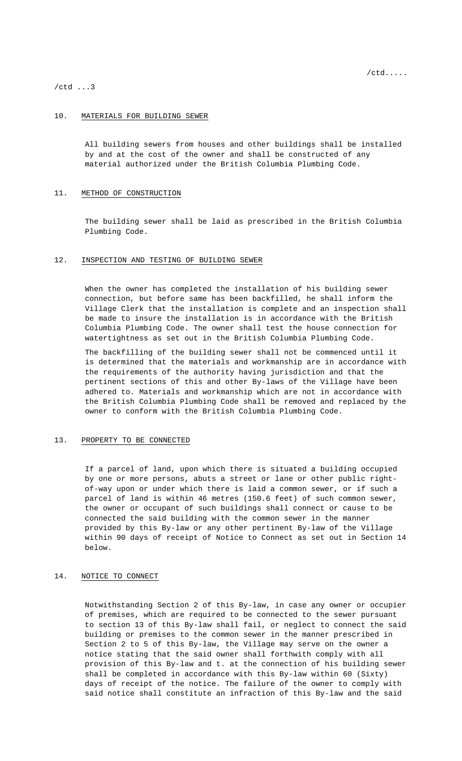/ctd ...3

### 10. MATERIALS FOR BUILDING SEWER

All building sewers from houses and other buildings shall be installed by and at the cost of the owner and shall be constructed of any material authorized under the British Columbia Plumbing Code.

# 11. METHOD OF CONSTRUCTION

The building sewer shall be laid as prescribed in the British Columbia Plumbing Code.

# 12. INSPECTION AND TESTING OF BUILDING SEWER

When the owner has completed the installation of his building sewer connection, but before same has been backfilled, he shall inform the Village Clerk that the installation is complete and an inspection shall be made to insure the installation is in accordance with the British Columbia Plumbing Code. The owner shall test the house connection for watertightness as set out in the British Columbia Plumbing Code.

The backfilling of the building sewer shall not be commenced until it is determined that the materials and workmanship are in accordance with the requirements of the authority having jurisdiction and that the pertinent sections of this and other By-laws of the Village have been adhered to. Materials and workmanship which are not in accordance with the British Columbia Plumbing Code shall be removed and replaced by the owner to conform with the British Columbia Plumbing Code.

# 13. PROPERTY TO BE CONNECTED

If a parcel of land, upon which there is situated a building occupied by one or more persons, abuts a street or lane or other public rightof-way upon or under which there is laid a common sewer, or if such a parcel of land is within 46 metres (150.6 feet) of such common sewer, the owner or occupant of such buildings shall connect or cause to be connected the said building with the common sewer in the manner provided by this By-law or any other pertinent By-law of the Village within 90 days of receipt of Notice to Connect as set out in Section 14 below.

# 14. NOTICE TO CONNECT

Notwithstanding Section 2 of this By-law, in case any owner or occupier of premises, which are required to be connected to the sewer pursuant to section 13 of this By-law shall fail, or neglect to connect the said building or premises to the common sewer in the manner prescribed in Section 2 to 5 of this By-law, the Village may serve on the owner a notice stating that the said owner shall forthwith comply with all provision of this By-law and t. at the connection of his building sewer shall be completed in accordance with this By-law within 60 (Sixty) days of receipt of the notice. The failure of the owner to comply with said notice shall constitute an infraction of this By-law and the said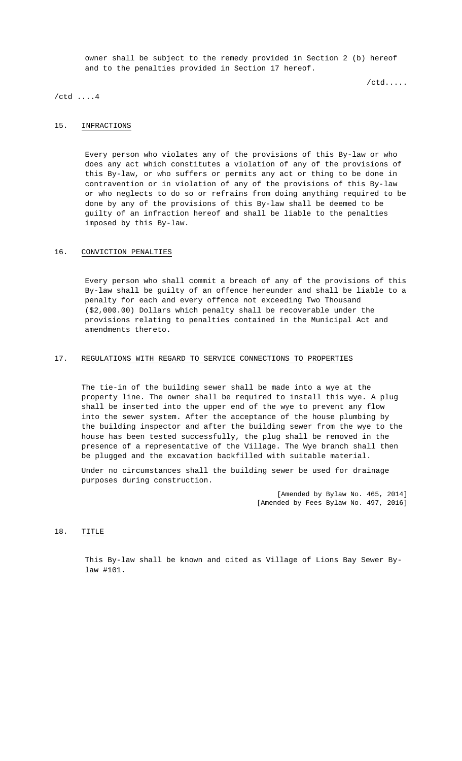owner shall be subject to the remedy provided in Section 2 (b) hereof and to the penalties provided in Section 17 hereof.

/ctd.....

/ctd ....4

# 15. INFRACTIONS

Every person who violates any of the provisions of this By-law or who does any act which constitutes a violation of any of the provisions of this By-law, or who suffers or permits any act or thing to be done in contravention or in violation of any of the provisions of this By-law or who neglects to do so or refrains from doing anything required to be done by any of the provisions of this By-law shall be deemed to be guilty of an infraction hereof and shall be liable to the penalties imposed by this By-law.

# 16. CONVICTION PENALTIES

Every person who shall commit a breach of any of the provisions of this By-law shall be guilty of an offence hereunder and shall be liable to a penalty for each and every offence not exceeding Two Thousand (\$2,000.00) Dollars which penalty shall be recoverable under the provisions relating to penalties contained in the Municipal Act and amendments thereto.

# 17. REGULATIONS WITH REGARD TO SERVICE CONNECTIONS TO PROPERTIES

The tie-in of the building sewer shall be made into a wye at the property line. The owner shall be required to install this wye. A plug shall be inserted into the upper end of the wye to prevent any flow into the sewer system. After the acceptance of the house plumbing by the building inspector and after the building sewer from the wye to the house has been tested successfully, the plug shall be removed in the presence of a representative of the Village. The Wye branch shall then be plugged and the excavation backfilled with suitable material.

Under no circumstances shall the building sewer be used for drainage purposes during construction.

> [Amended by Bylaw No. 465, 2014] [Amended by Fees Bylaw No. 497, 2016]

# 18. TITLE

This By-law shall be known and cited as Village of Lions Bay Sewer Bylaw #101.